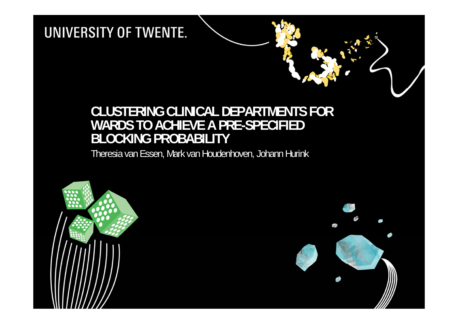## **CLUSTERING CLINICAL DEPARTMENTS FOR WARDS TO ACHIEVE A PRE-SPECIFIED BLOCKING PROBABILITY**

Theresia van Essen, Mark van Houdenhoven, Johann Hurink

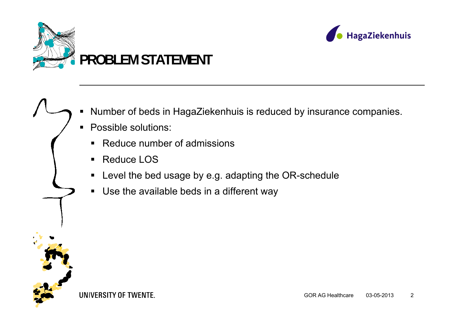



#### ■ Number of beds in HagaZiekenhuis is reduced by insurance companies.

- Possible solutions:
	- ■ Reduce number of admissions
	- Reduce LOS
	- Level the bed usage by e.g. adapting the OR-schedule
	- $\blacksquare$ Use the available beds in a different way

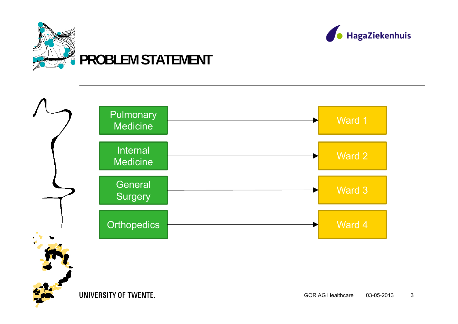



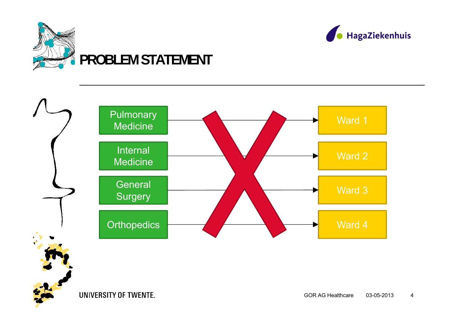



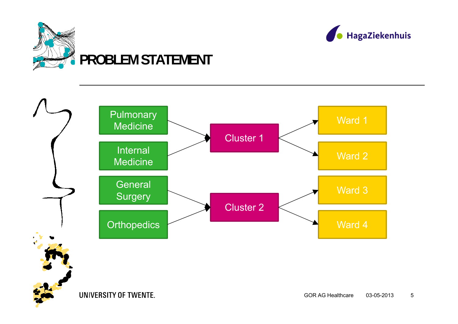



HagaZiekenhuis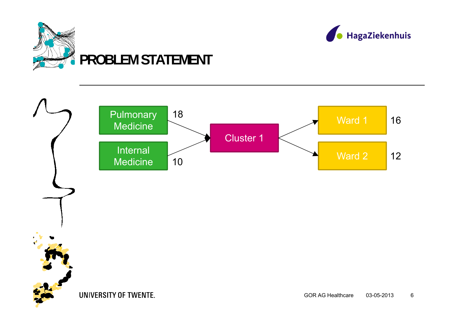



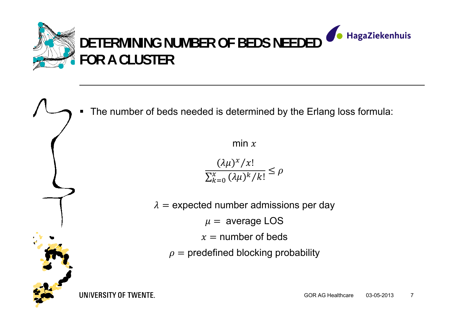

■ The number of beds needed is determined by the Erlang loss formula:

min  $x$ 

 $(\lambda \mu)^x/x!$  $\leq \rho$  $\sum_{k=0}^{\chi} \, (\lambda \mu)^k / k!$ 

 $\lambda=$  expected number admissions per day

 $\mu$  = average LOS

 $x =$  number of beds

 $\rho$  = predefined blocking probability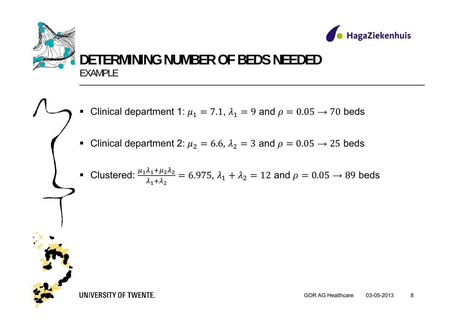

- ■ Clinical department 1:  $\mu_1 = 7.1$ ,  $\lambda_1 = 9$  and  $\rho = 0.05 \rightarrow 70$  beds
- ■ Clinical department 2:  $\mu_2 = 6.6$ ,  $\lambda_2 = 3$  and  $\rho = 0.05 \rightarrow 25$  beds
- ■ Clustered:  $\frac{\mu_1\lambda_1+\mu_2\lambda_2}{\lambda_1+\lambda_2}$  = 6.975,  $\lambda_1+\lambda_2$  = 12 and  $\rho = 0.05 \rightarrow 89$  beds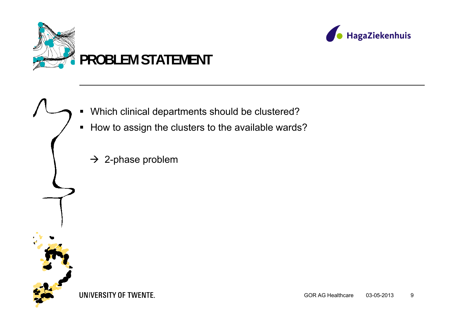





- **How to assign the clusters to the available wards?** 
	- $\rightarrow$  2-phase problem

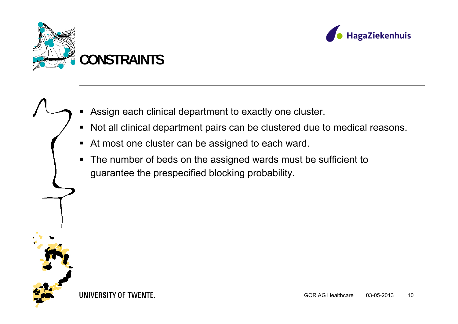



■ Assign each clinical department to exactly one cluster.

- Not all clinical department pairs can be clustered due to medical reasons.
- At most one cluster can be assigned to each ward.
- $\blacksquare$  The number of beds on the assigned wards must be sufficient to guarantee the prespecified blocking probability.

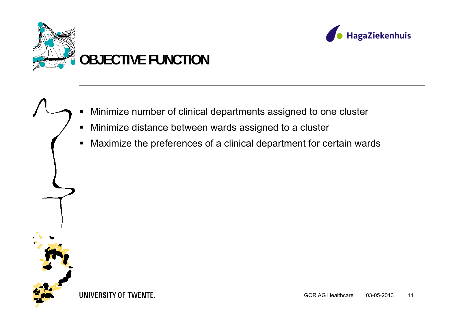



■ Minimize number of clinical departments assigned to one cluster

- $\blacksquare$ Minimize distance between wards assigned to a cluster
- $\blacksquare$ Maximize the preferences of a clinical department for certain wards

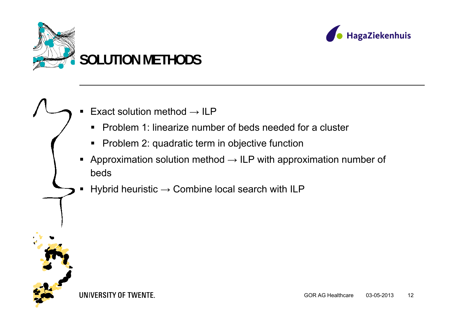



#### ■ ■ Exact solution method  $\rightarrow$  ILP

- **Problem 1: linearize number of beds needed for a cluster**
- Problem 2: quadratic term in objective function
- $\blacksquare$ Approximation solution method  $\rightarrow$  ILP with approximation number of beds
- Hybrid heuristic  $\rightarrow$  Combine local search with ILP

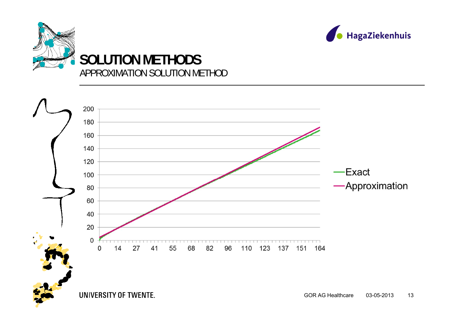



HagaZiekenhuis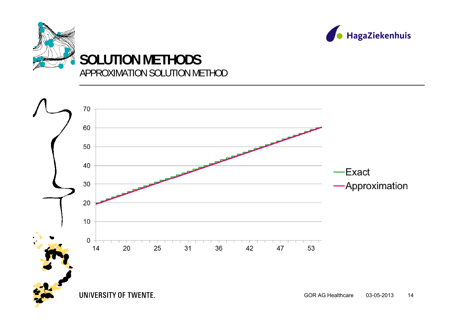



HagaZiekenhuis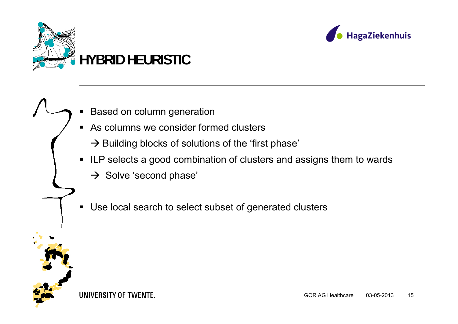



### ■ Based on column generation

As columns we consider formed clusters

 $\rightarrow$  Building blocks of solutions of the 'first phase'

- ILP selects a good combination of clusters and assigns them to wards
	- $\rightarrow$  Solve 'second phase'
- $\blacksquare$ Use local search to select subset of generated clusters

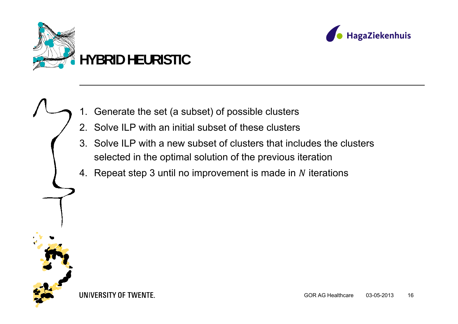



### 1. Generate the set (a subset) of possible clusters

- 2. Solve ILP with an initial subset of these clusters
- 3. Solve ILP with a new subset of clusters that includes the clusters selected in the optimal solution of the previous iteration
- 4. Repeat step 3 until no improvement is made in  $N$  iterations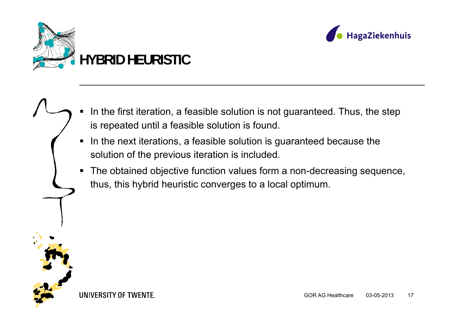



- In the first iteration, a feasible solution is not guaranteed. Thus, the step is repeated until a feasible solution is found.
- $\blacksquare$  In the next iterations, a feasible solution is guaranteed because the solution of the previous iteration is included.
- The obtained objective function values form a non-decreasing sequence, thus, this hybrid heuristic converges to a local optimum.

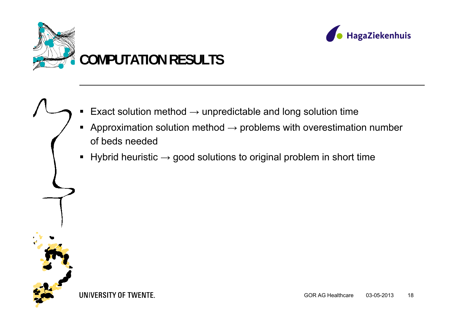



- Exact solution method  $\rightarrow$  unpredictable and long solution time
- Approximation solution method  $\rightarrow$  problems with overestimation number of beds needed
- Hybrid heuristic  $\rightarrow$  good solutions to original problem in short time

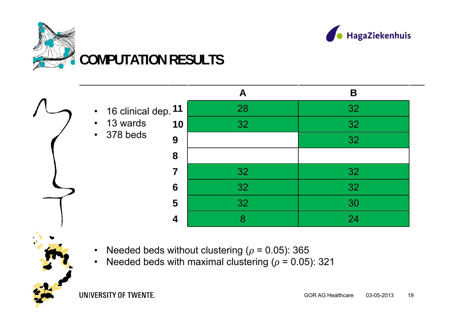



### **A B11** 16 clinical dep. 28 32 **10** 32 32 **9** 32 **8 7** 32 32 **6** 32 32 **5** 32 30 **4** 8 24 •• 13 wards •378 beds

- •Needed beds without clustering ( $\rho$  = 0.05): 365
- •Needed beds with maximal clustering ( $\rho$  = 0.05): 321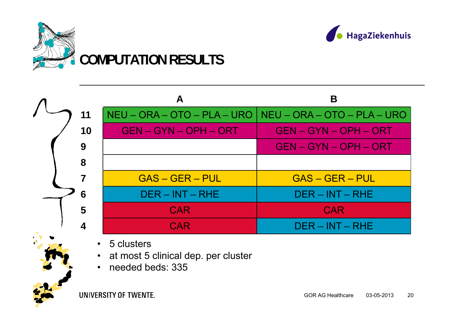



|    |                              | Β                                                         |
|----|------------------------------|-----------------------------------------------------------|
| 11 |                              | NEU – ORA – OTO – PLA – URO   NEU – ORA – OTO – PLA – URO |
| 10 | <b>GEN - GYN - OPH - ORT</b> | <b>GEN - GYN - OPH - ORT</b>                              |
| 9  |                              | <b>GEN - GYN - OPH - ORT</b>                              |
| 8  |                              |                                                           |
|    | $GAS - GER - PUL$            | $GAS - GER - PUL$                                         |
| 6  | $DER - INT - RHE$            | $DER - INT - RHE$                                         |
| 5  | <b>CAR</b>                   | <b>CAR</b>                                                |
| 4  | <b>CAR</b>                   | $DER - INT - RHE$                                         |

 $\bullet$ 5 clusters

- •at most 5 clinical dep. per cluster
- •needed beds: 335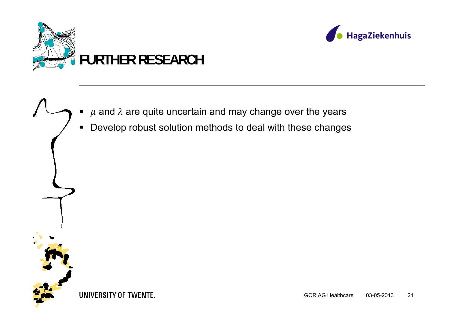



### ■  $\mu$  and  $\lambda$  are quite uncertain and may change over the years

 $\blacksquare$ Develop robust solution methods to deal with these changes